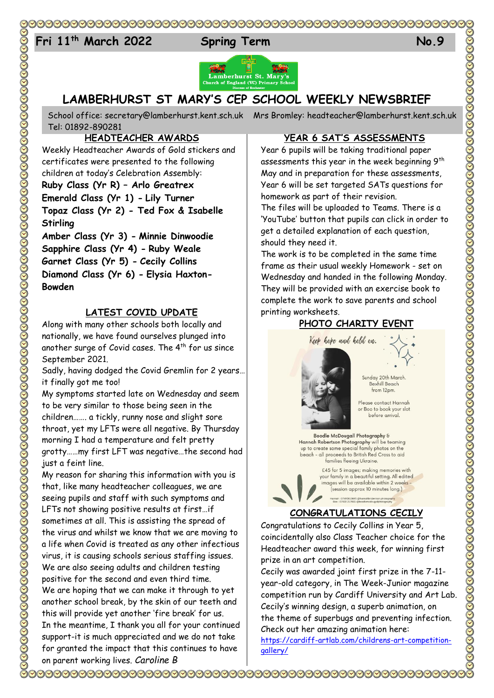# 

# 24 **Fri 11th March 2022 Spring Term No.9**





# **LAMBERHURST ST MARY'S CEP SCHOOL WEEKLY NEWSBRIEF**

School office: [secretary@lamberhurst.kent.sch.uk](mailto:secretary@lamberhurst.kent.sch.uk) Mrs Bromley: headteacher@lamberhurst.kent.sch.uk Tel: 01892-890281

#### **HEADTEACHER AWARDS**

Weekly Headteacher Awards of Gold stickers and certificates were presented to the following children at today's Celebration Assembly: **Ruby Class (Yr R) – Arlo Greatrex Emerald Class (Yr 1) - Lily Turner Topaz Class (Yr 2) - Ted Fox & Isabelle** 

**Stirling Amber Class (Yr 3) - Minnie Dinwoodie**

**Sapphire Class (Yr 4) - Ruby Weale Garnet Class (Yr 5) - Cecily Collins Diamond Class (Yr 6) - Elysia Haxton-Bowden**

#### **LATEST COVID UPDATE**

Along with many other schools both locally and nationally, we have found ourselves plunged into another surge of Covid cases. The  $4<sup>th</sup>$  for us since September 2021.

Sadly, having dodged the Covid Gremlin for 2 years… it finally got me too!

My symptoms started late on Wednesday and seem to be very similar to those being seen in the children……. a tickly, runny nose and slight sore throat, yet my LFTs were all negative. By Thursday morning I had a temperature and felt pretty grotty……my first LFT was negative…the second had just a feint line.

My reason for sharing this information with you is that, like many headteacher colleagues, we are seeing pupils and staff with such symptoms and LFTs not showing positive results at first…if sometimes at all. This is assisting the spread of the virus and whilst we know that we are moving to a life when Covid is treated as any other infectious virus, it is causing schools serious staffing issues. We are also seeing adults and children testing positive for the second and even third time. We are hoping that we can make it through to yet another school break, by the skin of our teeth and this will provide yet another 'fire break' for us. In the meantime, I thank you all for your continued support-it is much appreciated and we do not take for granted the impact that this continues to have on parent working lives. *Caroline B*

#### **YEAR 6 SAT'S ASSESSMENTS**

Year 6 pupils will be taking traditional paper assessments this year in the week beginning 9<sup>th</sup> May and in preparation for these assessments, Year 6 will be set targeted SATs questions for homework as part of their revision.

The files will be uploaded to Teams. There is a 'YouTube' button that pupils can click in order to get a detailed explanation of each question, should they need it.

The work is to be completed in the same time frame as their usual weekly Homework - set on Wednesday and handed in the following Monday. They will be provided with an exercise book to complete the work to save parents and school printing worksheets.

## **PHOTO CHARITY EVENT**



Sunday 20th March. Bexhill Beach from 12pm.

Please contact Hannah or Boo to book your slot before arrival.

Boodle McDougall Photography & Hannah Robertson Photography will be teaming up to create some special family photos on the<br>beach - all proceeds to British Red Cross to aid families fleeing Ukraine.



#### **CONGRATULATIONS CECILY**

Congratulations to Cecily Collins in Year 5, coincidentally also Class Teacher choice for the Headteacher award this week, for winning first prize in an art competition.

Cecily was awarded joint first prize in the 7-11 year-old category, in The Week-Junior magazine competition run by Cardiff University and Art Lab. Cecily's winning design, a superb animation, on the theme of superbugs and preventing infection. Check out her amazing animation here: [https://cardiff-artlab.com/childrens-art-competition](https://cardiff-artlab.com/childrens-art-competition-gallery/)[gallery/](https://cardiff-artlab.com/childrens-art-competition-gallery/)